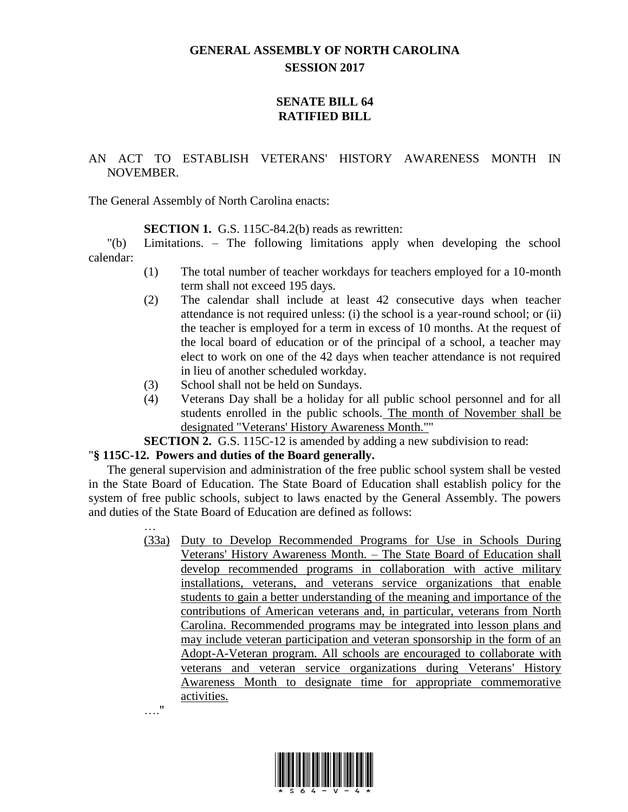## **GENERAL ASSEMBLY OF NORTH CAROLINA SESSION 2017**

## **SENATE BILL 64 RATIFIED BILL**

## AN ACT TO ESTABLISH VETERANS' HISTORY AWARENESS MONTH IN NOVEMBER.

The General Assembly of North Carolina enacts:

**SECTION 1.** G.S. 115C-84.2(b) reads as rewritten:

"(b) Limitations. – The following limitations apply when developing the school calendar:

- (1) The total number of teacher workdays for teachers employed for a 10-month term shall not exceed 195 days.
- (2) The calendar shall include at least 42 consecutive days when teacher attendance is not required unless: (i) the school is a year-round school; or (ii) the teacher is employed for a term in excess of 10 months. At the request of the local board of education or of the principal of a school, a teacher may elect to work on one of the 42 days when teacher attendance is not required in lieu of another scheduled workday.
- (3) School shall not be held on Sundays.
- (4) Veterans Day shall be a holiday for all public school personnel and for all students enrolled in the public schools. The month of November shall be designated "Veterans' History Awareness Month.""
- **SECTION 2.** G.S. 115C-12 is amended by adding a new subdivision to read:

## "**§ 115C-12. Powers and duties of the Board generally.**

The general supervision and administration of the free public school system shall be vested in the State Board of Education. The State Board of Education shall establish policy for the system of free public schools, subject to laws enacted by the General Assembly. The powers and duties of the State Board of Education are defined as follows:

> … (33a) Duty to Develop Recommended Programs for Use in Schools During Veterans' History Awareness Month. – The State Board of Education shall develop recommended programs in collaboration with active military installations, veterans, and veterans service organizations that enable students to gain a better understanding of the meaning and importance of the contributions of American veterans and, in particular, veterans from North Carolina. Recommended programs may be integrated into lesson plans and may include veteran participation and veteran sponsorship in the form of an Adopt-A-Veteran program. All schools are encouraged to collaborate with veterans and veteran service organizations during Veterans' History Awareness Month to designate time for appropriate commemorative activities. …."